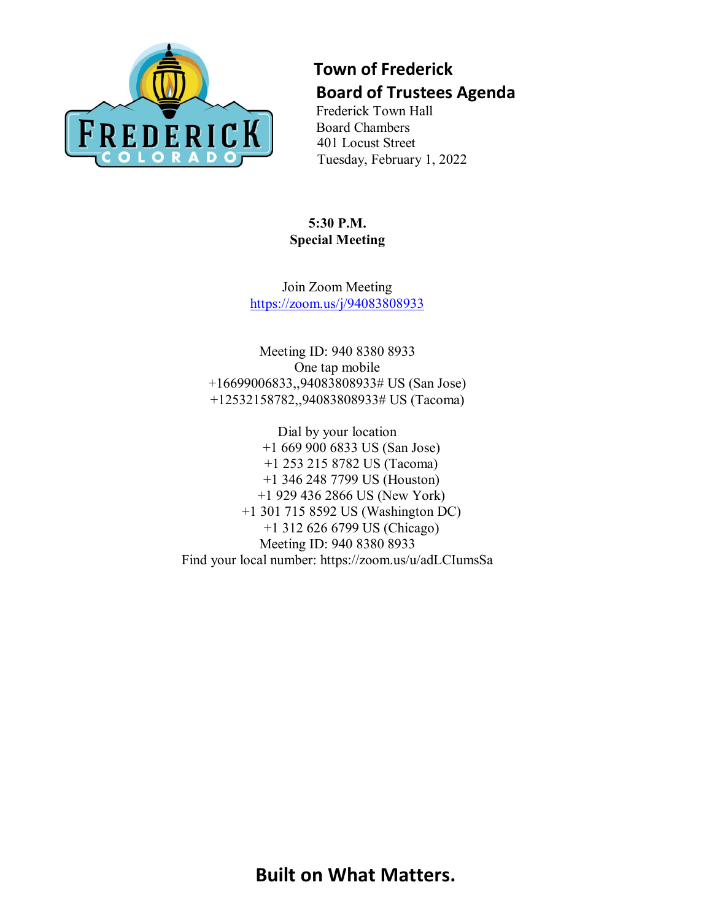

## **Town of Frederick Board of Trustees Agenda**

Frederick Town Hall Board Chambers 401 Locust Street Tuesday, February 1, 2022

**5:30 P.M. Special Meeting**

Join Zoom Meeting <https://zoom.us/j/94083808933>

Meeting ID: 940 8380 8933 One tap mobile +16699006833,,94083808933# US (San Jose) +12532158782,,94083808933# US (Tacoma)

Dial by your location +1 669 900 6833 US (San Jose) +1 253 215 8782 US (Tacoma) +1 346 248 7799 US (Houston) +1 929 436 2866 US (New York) +1 301 715 8592 US (Washington DC) +1 312 626 6799 US (Chicago) Meeting ID: 940 8380 8933 Find your local number: https://zoom.us/u/adLCIumsSa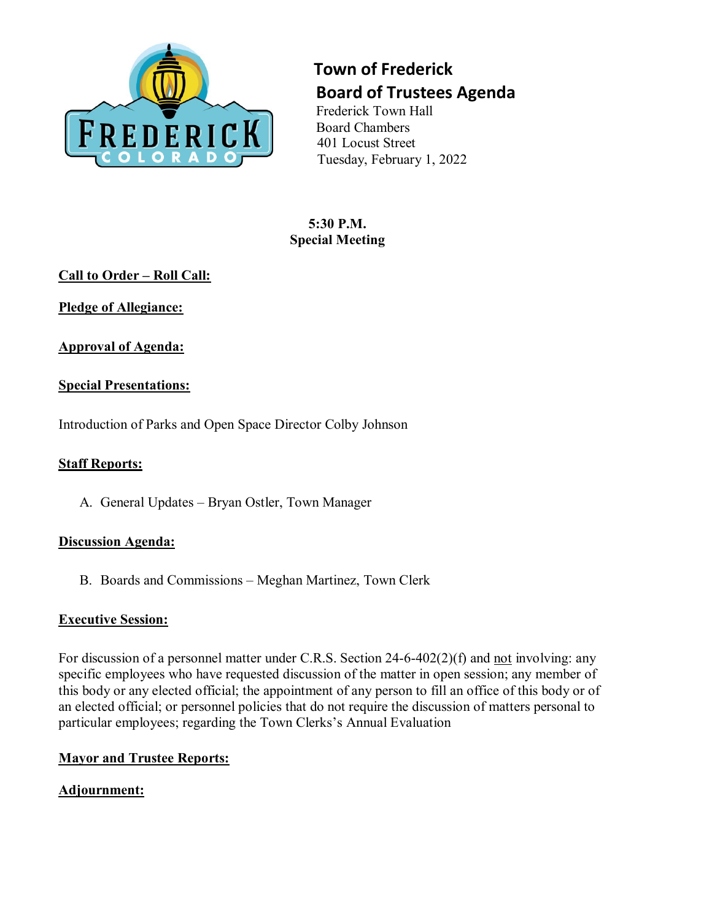

## **Town of Frederick Board of Trustees Agenda**

Frederick Town Hall Board Chambers 401 Locust Street Tuesday, February 1, 2022

**5:30 P.M. Special Meeting**

## **Call to Order – Roll Call:**

**Pledge of Allegiance:**

**Approval of Agenda:**

## **Special Presentations:**

Introduction of Parks and Open Space Director Colby Johnson

### **Staff Reports:**

A. General Updates – Bryan Ostler, Town Manager

#### **Discussion Agenda:**

B. Boards and Commissions – Meghan Martinez, Town Clerk

#### **Executive Session:**

For discussion of a personnel matter under C.R.S. Section 24-6-402(2)(f) and not involving: any specific employees who have requested discussion of the matter in open session; any member of this body or any elected official; the appointment of any person to fill an office of this body or of an elected official; or personnel policies that do not require the discussion of matters personal to particular employees; regarding the Town Clerks's Annual Evaluation

#### **Mayor and Trustee Reports:**

## **Adjournment:**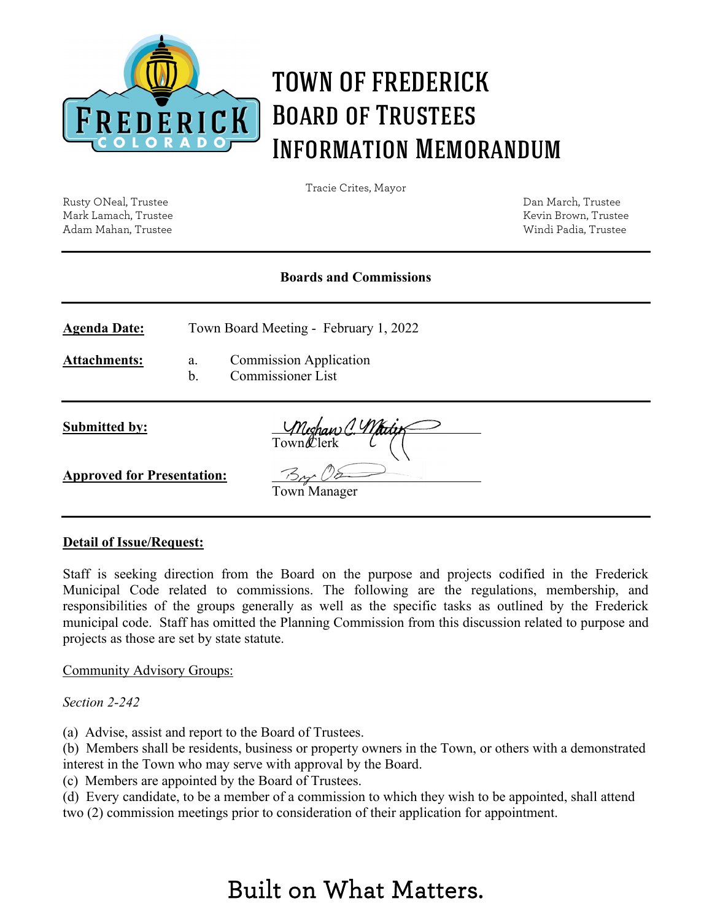

# TOWN OF FREDERICK Board of Trustees Information Memorandum

Tracie Crites, Mayor

Rusty ONeal, Trustee Dan March, Trustee Mark Lamach, Trustee Kevin Brown, Trustee Kevin Brown, Trustee Adam Mahan, Trustee Windi Padia, Trustee

#### **Boards and Commissions**

**Agenda Date:** Town Board Meeting - February 1, 2022

**Attachments:** a. Commission Application

b. Commissioner List

**Submitted by:**

Town*C*lerk

**Approved for Presentation:**

Town Manager

#### **Detail of Issue/Request:**

Staff is seeking direction from the Board on the purpose and projects codified in the Frederick Municipal Code related to commissions. The following are the regulations, membership, and responsibilities of the groups generally as well as the specific tasks as outlined by the Frederick municipal code. Staff has omitted the Planning Commission from this discussion related to purpose and projects as those are set by state statute.

Community Advisory Groups:

*Section 2-242* 

(a) Advise, assist and report to the Board of Trustees.

(b) Members shall be residents, business or property owners in the Town, or others with a demonstrated interest in the Town who may serve with approval by the Board.

(c) Members are appointed by the Board of Trustees.

(d) Every candidate, to be a member of a commission to which they wish to be appointed, shall attend two (2) commission meetings prior to consideration of their application for appointment.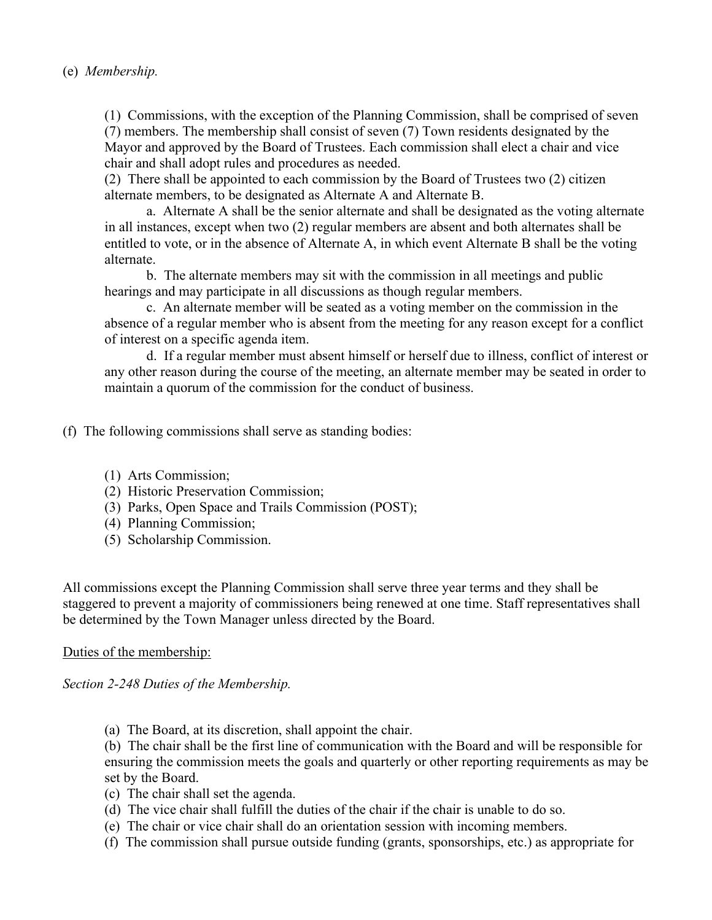#### (e) *Membership.*

(1) Commissions, with the exception of the Planning Commission, shall be comprised of seven (7) members. The membership shall consist of seven (7) Town residents designated by the Mayor and approved by the Board of Trustees. Each commission shall elect a chair and vice chair and shall adopt rules and procedures as needed.

(2) There shall be appointed to each commission by the Board of Trustees two (2) citizen alternate members, to be designated as Alternate A and Alternate B.

a. Alternate A shall be the senior alternate and shall be designated as the voting alternate in all instances, except when two (2) regular members are absent and both alternates shall be entitled to vote, or in the absence of Alternate A, in which event Alternate B shall be the voting alternate.

b. The alternate members may sit with the commission in all meetings and public hearings and may participate in all discussions as though regular members.

c. An alternate member will be seated as a voting member on the commission in the absence of a regular member who is absent from the meeting for any reason except for a conflict of interest on a specific agenda item.

d. If a regular member must absent himself or herself due to illness, conflict of interest or any other reason during the course of the meeting, an alternate member may be seated in order to maintain a quorum of the commission for the conduct of business.

(f) The following commissions shall serve as standing bodies:

- (1) Arts Commission;
- (2) Historic Preservation Commission;
- (3) Parks, Open Space and Trails Commission (POST);
- (4) Planning Commission;
- (5) Scholarship Commission.

All commissions except the Planning Commission shall serve three year terms and they shall be staggered to prevent a majority of commissioners being renewed at one time. Staff representatives shall be determined by the Town Manager unless directed by the Board.

#### Duties of the membership:

*Section 2-248 Duties of the Membership.*

(a) The Board, at its discretion, shall appoint the chair.

(b) The chair shall be the first line of communication with the Board and will be responsible for ensuring the commission meets the goals and quarterly or other reporting requirements as may be set by the Board.

- (c) The chair shall set the agenda.
- (d) The vice chair shall fulfill the duties of the chair if the chair is unable to do so.
- (e) The chair or vice chair shall do an orientation session with incoming members.
- (f) The commission shall pursue outside funding (grants, sponsorships, etc.) as appropriate for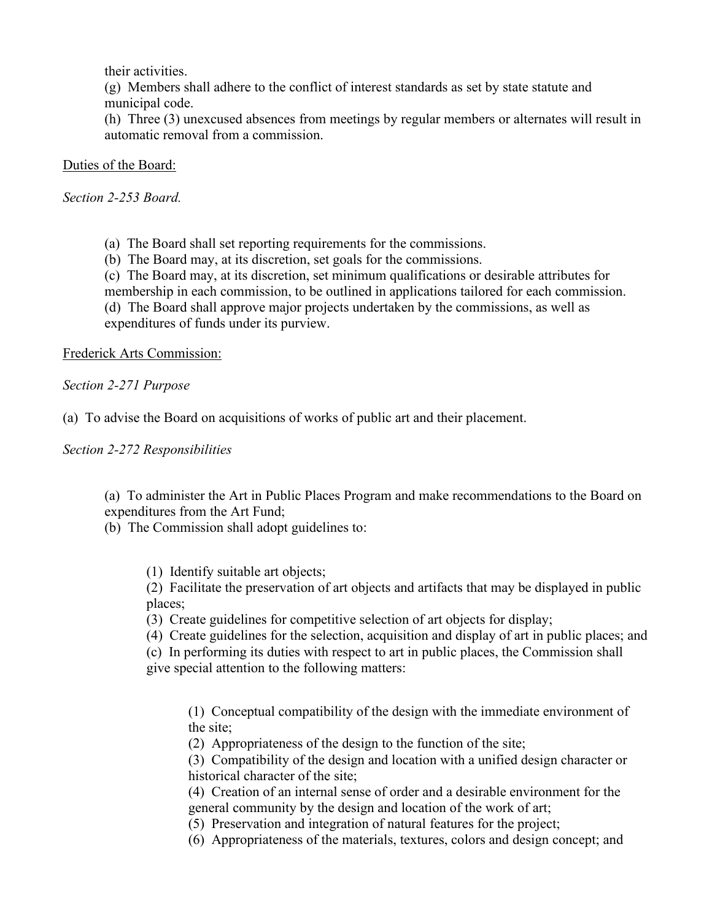their activities.

(g) Members shall adhere to the conflict of interest standards as set by state statute and municipal code.

(h) Three (3) unexcused absences from meetings by regular members or alternates will result in automatic removal from a commission.

Duties of the Board:

*Section 2-253 Board.*

(a) The Board shall set reporting requirements for the commissions.

(b) The Board may, at its discretion, set goals for the commissions.

(c) The Board may, at its discretion, set minimum qualifications or desirable attributes for membership in each commission, to be outlined in applications tailored for each commission. (d) The Board shall approve major projects undertaken by the commissions, as well as expenditures of funds under its purview.

Frederick Arts Commission:

*Section 2-271 Purpose*

(a) To advise the Board on acquisitions of works of public art and their placement.

*Section 2-272 Responsibilities*

(a) To administer the Art in Public Places Program and make recommendations to the Board on expenditures from the Art Fund;

(b) The Commission shall adopt guidelines to:

(1) Identify suitable art objects;

(2) Facilitate the preservation of art objects and artifacts that may be displayed in public places;

(3) Create guidelines for competitive selection of art objects for display;

(4) Create guidelines for the selection, acquisition and display of art in public places; and

(c) In performing its duties with respect to art in public places, the Commission shall give special attention to the following matters:

(1) Conceptual compatibility of the design with the immediate environment of the site;

(2) Appropriateness of the design to the function of the site;

(3) Compatibility of the design and location with a unified design character or historical character of the site;

(4) Creation of an internal sense of order and a desirable environment for the general community by the design and location of the work of art;

(5) Preservation and integration of natural features for the project;

(6) Appropriateness of the materials, textures, colors and design concept; and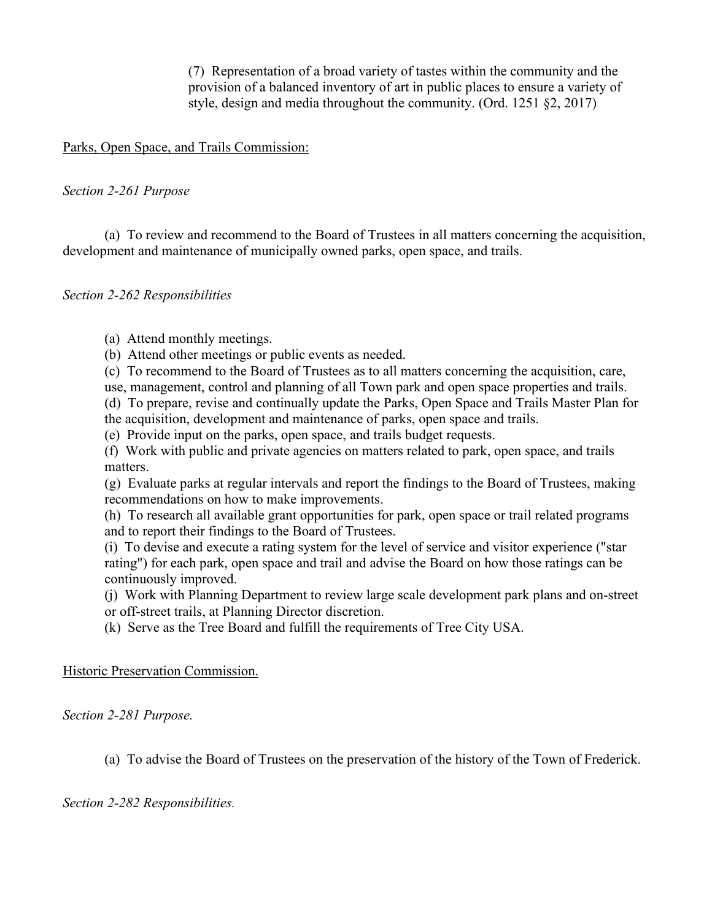(7) Representation of a broad variety of tastes within the community and the provision of a balanced inventory of art in public places to ensure a variety of style, design and media throughout the community. (Ord. 1251 §2, 2017)

#### Parks, Open Space, and Trails Commission:

#### *Section 2-261 Purpose*

(a) To review and recommend to the Board of Trustees in all matters concerning the acquisition, development and maintenance of municipally owned parks, open space, and trails.

#### *Section 2-262 Responsibilities*

(a) Attend monthly meetings.

(b) Attend other meetings or public events as needed.

(c) To recommend to the Board of Trustees as to all matters concerning the acquisition, care,

use, management, control and planning of all Town park and open space properties and trails.

(d) To prepare, revise and continually update the Parks, Open Space and Trails Master Plan for the acquisition, development and maintenance of parks, open space and trails.

(e) Provide input on the parks, open space, and trails budget requests.

(f) Work with public and private agencies on matters related to park, open space, and trails matters.

(g) Evaluate parks at regular intervals and report the findings to the Board of Trustees, making recommendations on how to make improvements.

(h) To research all available grant opportunities for park, open space or trail related programs and to report their findings to the Board of Trustees.

(i) To devise and execute a rating system for the level of service and visitor experience ("star rating") for each park, open space and trail and advise the Board on how those ratings can be continuously improved.

(j) Work with Planning Department to review large scale development park plans and on-street or off-street trails, at Planning Director discretion.

(k) Serve as the Tree Board and fulfill the requirements of Tree City USA.

Historic Preservation Commission.

*Section 2-281 Purpose.*

(a) To advise the Board of Trustees on the preservation of the history of the Town of Frederick.

*Section 2-282 Responsibilities.*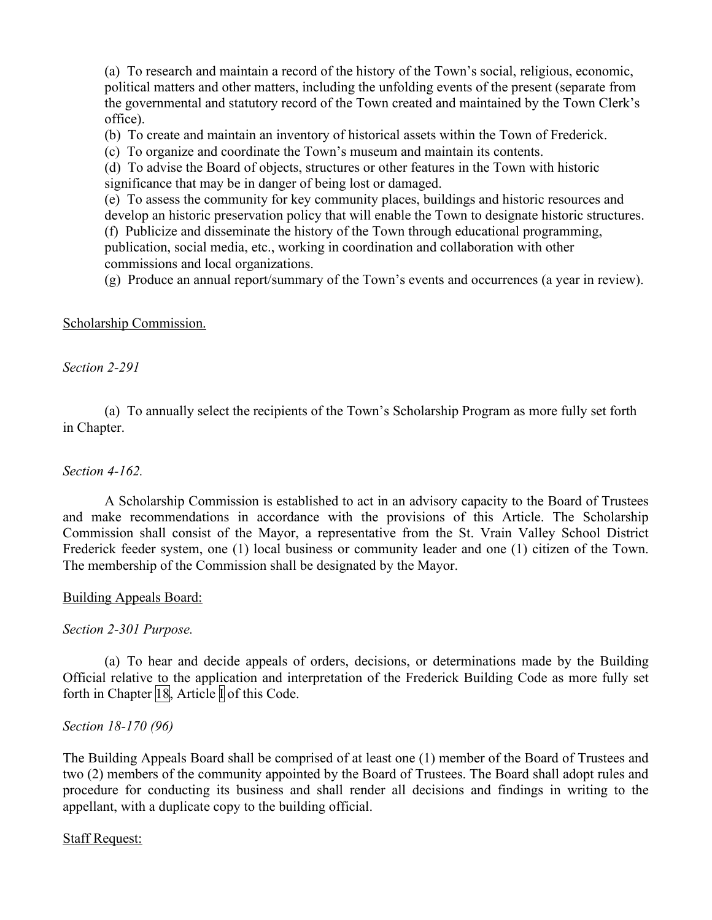(a) To research and maintain a record of the history of the Town's social, religious, economic, political matters and other matters, including the unfolding events of the present (separate from the governmental and statutory record of the Town created and maintained by the Town Clerk's office).

(b) To create and maintain an inventory of historical assets within the Town of Frederick.

(c) To organize and coordinate the Town's museum and maintain its contents.

(d) To advise the Board of objects, structures or other features in the Town with historic significance that may be in danger of being lost or damaged.

(e) To assess the community for key community places, buildings and historic resources and develop an historic preservation policy that will enable the Town to designate historic structures.

(f) Publicize and disseminate the history of the Town through educational programming, publication, social media, etc., working in coordination and collaboration with other commissions and local organizations.

(g) Produce an annual report/summary of the Town's events and occurrences (a year in review).

#### Scholarship Commission.

#### *Section 2-291*

(a) To annually select the recipients of the Town's Scholarship Program as more fully set forth in Chapter.

#### *Section 4-162.*

A Scholarship Commission is established to act in an advisory capacity to the Board of Trustees and make recommendations in accordance with the provisions of this Article. The Scholarship Commission shall consist of the Mayor, a representative from the St. Vrain Valley School District Frederick feeder system, one (1) local business or community leader and one (1) citizen of the Town. The membership of the Commission shall be designated by the Mayor.

#### Building Appeals Board:

#### *Section 2-301 Purpose.*

(a) To hear and decide appeals of orders, decisions, or determinations made by the Building Official relative to the application and interpretation of the Frederick Building Code as more fully set forth in Chapter  $\boxed{18}$ , Article  $\boxed{ }$  of this Code.

#### *Section 18-170 (96)*

The Building Appeals Board shall be comprised of at least one (1) member of the Board of Trustees and two (2) members of the community appointed by the Board of Trustees. The Board shall adopt rules and procedure for conducting its business and shall render all decisions and findings in writing to the appellant, with a duplicate copy to the building official.

#### Staff Request: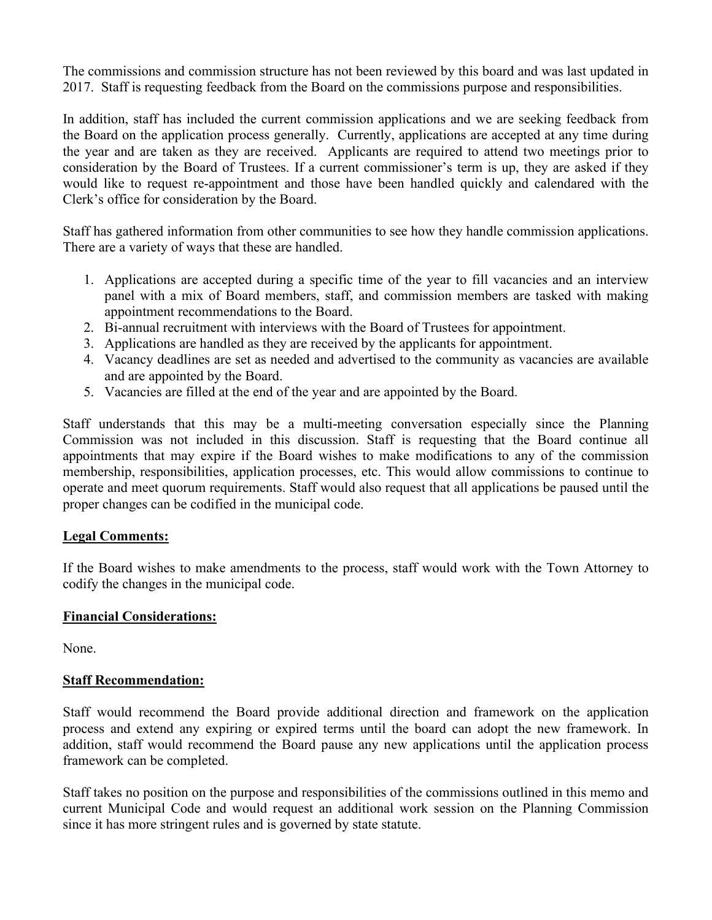The commissions and commission structure has not been reviewed by this board and was last updated in 2017. Staff is requesting feedback from the Board on the commissions purpose and responsibilities.

In addition, staff has included the current commission applications and we are seeking feedback from the Board on the application process generally. Currently, applications are accepted at any time during the year and are taken as they are received. Applicants are required to attend two meetings prior to consideration by the Board of Trustees. If a current commissioner's term is up, they are asked if they would like to request re-appointment and those have been handled quickly and calendared with the Clerk's office for consideration by the Board.

Staff has gathered information from other communities to see how they handle commission applications. There are a variety of ways that these are handled.

- 1. Applications are accepted during a specific time of the year to fill vacancies and an interview panel with a mix of Board members, staff, and commission members are tasked with making appointment recommendations to the Board.
- 2. Bi-annual recruitment with interviews with the Board of Trustees for appointment.
- 3. Applications are handled as they are received by the applicants for appointment.
- 4. Vacancy deadlines are set as needed and advertised to the community as vacancies are available and are appointed by the Board.
- 5. Vacancies are filled at the end of the year and are appointed by the Board.

Staff understands that this may be a multi-meeting conversation especially since the Planning Commission was not included in this discussion. Staff is requesting that the Board continue all appointments that may expire if the Board wishes to make modifications to any of the commission membership, responsibilities, application processes, etc. This would allow commissions to continue to operate and meet quorum requirements. Staff would also request that all applications be paused until the proper changes can be codified in the municipal code.

#### **Legal Comments:**

If the Board wishes to make amendments to the process, staff would work with the Town Attorney to codify the changes in the municipal code.

#### **Financial Considerations:**

None.

#### **Staff Recommendation:**

Staff would recommend the Board provide additional direction and framework on the application process and extend any expiring or expired terms until the board can adopt the new framework. In addition, staff would recommend the Board pause any new applications until the application process framework can be completed.

Staff takes no position on the purpose and responsibilities of the commissions outlined in this memo and current Municipal Code and would request an additional work session on the Planning Commission since it has more stringent rules and is governed by state statute.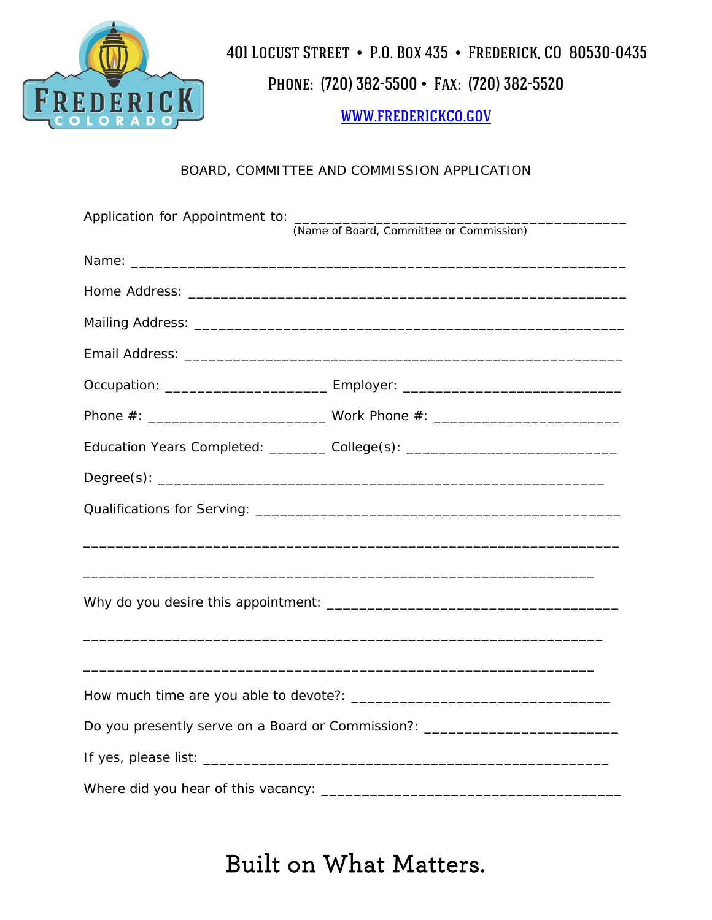

Phone: (720) 382-5500 • Fax: (720) 382-5520

[www.frederickco.gov](http://www.frederickco.gov/)

#### BOARD, COMMITTEE AND COMMISSION APPLICATION

|                                                                                  | (Name of Board, Committee or Commission)                                         |  |  |
|----------------------------------------------------------------------------------|----------------------------------------------------------------------------------|--|--|
|                                                                                  |                                                                                  |  |  |
|                                                                                  |                                                                                  |  |  |
|                                                                                  |                                                                                  |  |  |
|                                                                                  |                                                                                  |  |  |
|                                                                                  |                                                                                  |  |  |
|                                                                                  |                                                                                  |  |  |
|                                                                                  | Education Years Completed: ________ College(s): ________________________________ |  |  |
|                                                                                  |                                                                                  |  |  |
|                                                                                  |                                                                                  |  |  |
|                                                                                  |                                                                                  |  |  |
|                                                                                  |                                                                                  |  |  |
|                                                                                  |                                                                                  |  |  |
|                                                                                  |                                                                                  |  |  |
|                                                                                  |                                                                                  |  |  |
|                                                                                  |                                                                                  |  |  |
| Do you presently serve on a Board or Commission?: ______________________________ |                                                                                  |  |  |
|                                                                                  |                                                                                  |  |  |
|                                                                                  |                                                                                  |  |  |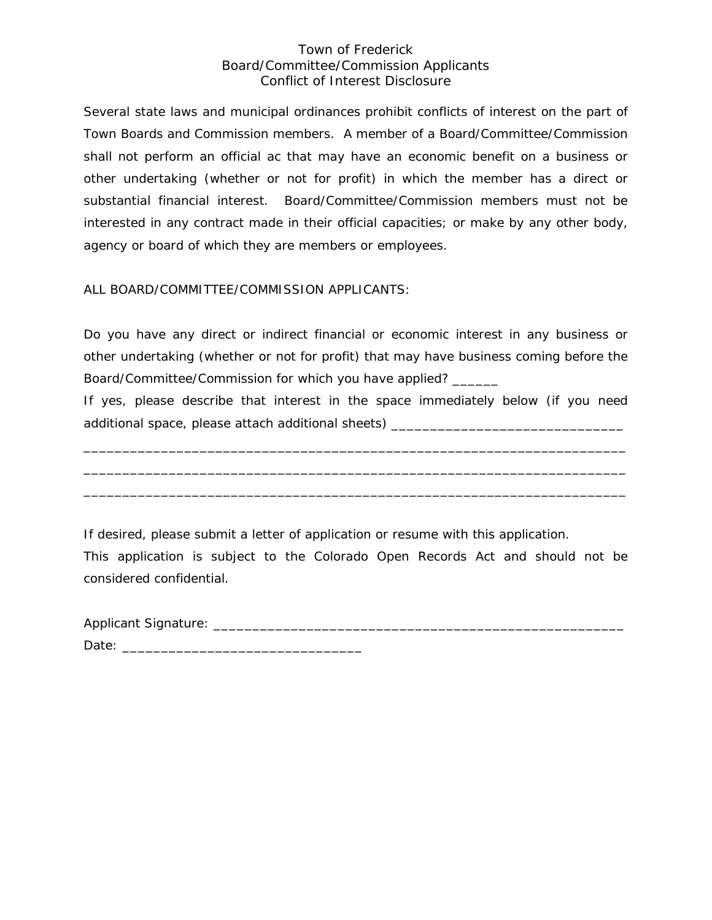#### Town of Frederick Board/Committee/Commission Applicants Conflict of Interest Disclosure

Several state laws and municipal ordinances prohibit conflicts of interest on the part of Town Boards and Commission members. A member of a Board/Committee/Commission shall not perform an official ac that may have an economic benefit on a business or other undertaking (whether or not for profit) in which the member has a direct or substantial financial interest. Board/Committee/Commission members must not be interested in any contract made in their official capacities; or make by any other body, agency or board of which they are members or employees.

ALL BOARD/COMMITTEE/COMMISSION APPLICANTS:

Do you have any direct or indirect financial or economic interest in any business or other undertaking (whether or not for profit) that may have business coming before the Board/Committee/Commission for which you have applied? \_\_\_\_\_\_

If yes, please describe that interest in the space immediately below (if you need additional space, please attach additional sheets) \_\_\_\_\_\_\_\_\_\_\_\_\_\_\_\_\_\_\_\_\_\_\_\_\_\_\_\_\_

\_\_\_\_\_\_\_\_\_\_\_\_\_\_\_\_\_\_\_\_\_\_\_\_\_\_\_\_\_\_\_\_\_\_\_\_\_\_\_\_\_\_\_\_\_\_\_\_\_\_\_\_\_\_\_\_\_\_\_\_\_\_\_\_\_\_\_\_\_\_ \_\_\_\_\_\_\_\_\_\_\_\_\_\_\_\_\_\_\_\_\_\_\_\_\_\_\_\_\_\_\_\_\_\_\_\_\_\_\_\_\_\_\_\_\_\_\_\_\_\_\_\_\_\_\_\_\_\_\_\_\_\_\_\_\_\_\_\_\_\_ \_\_\_\_\_\_\_\_\_\_\_\_\_\_\_\_\_\_\_\_\_\_\_\_\_\_\_\_\_\_\_\_\_\_\_\_\_\_\_\_\_\_\_\_\_\_\_\_\_\_\_\_\_\_\_\_\_\_\_\_\_\_\_\_\_\_\_\_\_\_

If desired, please submit a letter of application or resume with this application.

This application is subject to the Colorado Open Records Act and should not be considered confidential.

| Applicant Signature: |  |  |
|----------------------|--|--|
| Date:                |  |  |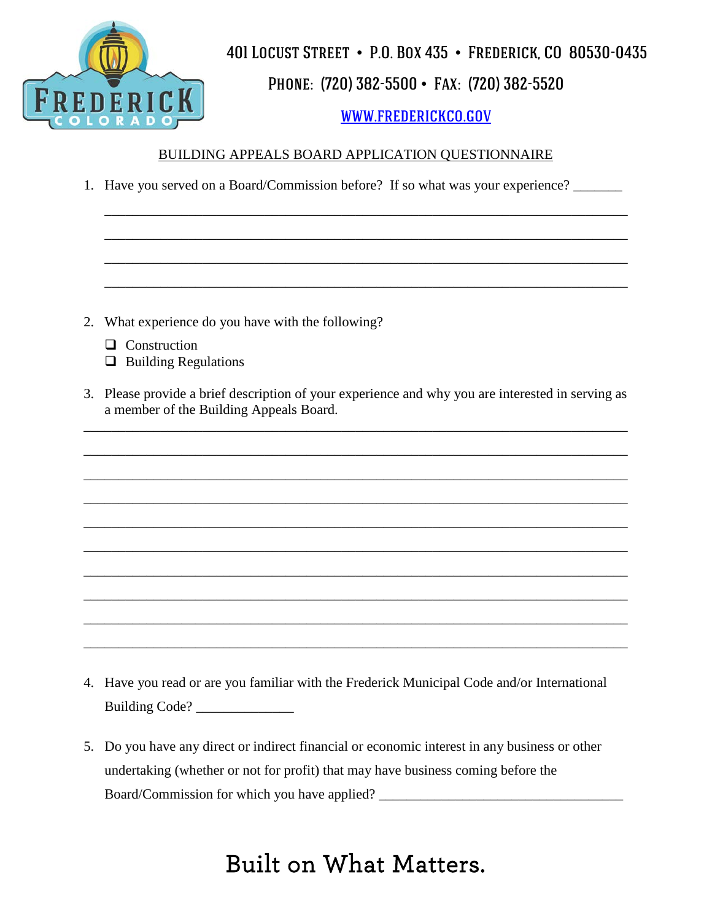

## Phone: (720) 382-5500 • Fax: (720) 382-5520

## [www.frederickco.gov](http://www.frederickco.gov/)

#### BUILDING APPEALS BOARD APPLICATION QUESTIONNAIRE

\_\_\_\_\_\_\_\_\_\_\_\_\_\_\_\_\_\_\_\_\_\_\_\_\_\_\_\_\_\_\_\_\_\_\_\_\_\_\_\_\_\_\_\_\_\_\_\_\_\_\_\_\_\_\_\_\_\_\_\_\_\_\_\_\_\_\_\_\_\_\_\_\_\_\_

\_\_\_\_\_\_\_\_\_\_\_\_\_\_\_\_\_\_\_\_\_\_\_\_\_\_\_\_\_\_\_\_\_\_\_\_\_\_\_\_\_\_\_\_\_\_\_\_\_\_\_\_\_\_\_\_\_\_\_\_\_\_\_\_\_\_\_\_\_\_\_\_\_\_\_

\_\_\_\_\_\_\_\_\_\_\_\_\_\_\_\_\_\_\_\_\_\_\_\_\_\_\_\_\_\_\_\_\_\_\_\_\_\_\_\_\_\_\_\_\_\_\_\_\_\_\_\_\_\_\_\_\_\_\_\_\_\_\_\_\_\_\_\_\_\_\_\_\_\_\_

\_\_\_\_\_\_\_\_\_\_\_\_\_\_\_\_\_\_\_\_\_\_\_\_\_\_\_\_\_\_\_\_\_\_\_\_\_\_\_\_\_\_\_\_\_\_\_\_\_\_\_\_\_\_\_\_\_\_\_\_\_\_\_\_\_\_\_\_\_\_\_\_\_\_\_

1. Have you served on a Board/Commission before? If so what was your experience? \_\_\_\_\_\_\_

- 2. What experience do you have with the following?
	- **Q** Construction
	- $\Box$  Building Regulations
- 3. Please provide a brief description of your experience and why you are interested in serving as a member of the Building Appeals Board.

\_\_\_\_\_\_\_\_\_\_\_\_\_\_\_\_\_\_\_\_\_\_\_\_\_\_\_\_\_\_\_\_\_\_\_\_\_\_\_\_\_\_\_\_\_\_\_\_\_\_\_\_\_\_\_\_\_\_\_\_\_\_\_\_\_\_\_\_\_\_\_\_\_\_\_\_\_\_

\_\_\_\_\_\_\_\_\_\_\_\_\_\_\_\_\_\_\_\_\_\_\_\_\_\_\_\_\_\_\_\_\_\_\_\_\_\_\_\_\_\_\_\_\_\_\_\_\_\_\_\_\_\_\_\_\_\_\_\_\_\_\_\_\_\_\_\_\_\_\_\_\_\_\_\_\_\_

\_\_\_\_\_\_\_\_\_\_\_\_\_\_\_\_\_\_\_\_\_\_\_\_\_\_\_\_\_\_\_\_\_\_\_\_\_\_\_\_\_\_\_\_\_\_\_\_\_\_\_\_\_\_\_\_\_\_\_\_\_\_\_\_\_\_\_\_\_\_\_\_\_\_\_\_\_\_

\_\_\_\_\_\_\_\_\_\_\_\_\_\_\_\_\_\_\_\_\_\_\_\_\_\_\_\_\_\_\_\_\_\_\_\_\_\_\_\_\_\_\_\_\_\_\_\_\_\_\_\_\_\_\_\_\_\_\_\_\_\_\_\_\_\_\_\_\_\_\_\_\_\_\_\_\_\_

\_\_\_\_\_\_\_\_\_\_\_\_\_\_\_\_\_\_\_\_\_\_\_\_\_\_\_\_\_\_\_\_\_\_\_\_\_\_\_\_\_\_\_\_\_\_\_\_\_\_\_\_\_\_\_\_\_\_\_\_\_\_\_\_\_\_\_\_\_\_\_\_\_\_\_\_\_\_

\_\_\_\_\_\_\_\_\_\_\_\_\_\_\_\_\_\_\_\_\_\_\_\_\_\_\_\_\_\_\_\_\_\_\_\_\_\_\_\_\_\_\_\_\_\_\_\_\_\_\_\_\_\_\_\_\_\_\_\_\_\_\_\_\_\_\_\_\_\_\_\_\_\_\_\_\_\_

\_\_\_\_\_\_\_\_\_\_\_\_\_\_\_\_\_\_\_\_\_\_\_\_\_\_\_\_\_\_\_\_\_\_\_\_\_\_\_\_\_\_\_\_\_\_\_\_\_\_\_\_\_\_\_\_\_\_\_\_\_\_\_\_\_\_\_\_\_\_\_\_\_\_\_\_\_\_

\_\_\_\_\_\_\_\_\_\_\_\_\_\_\_\_\_\_\_\_\_\_\_\_\_\_\_\_\_\_\_\_\_\_\_\_\_\_\_\_\_\_\_\_\_\_\_\_\_\_\_\_\_\_\_\_\_\_\_\_\_\_\_\_\_\_\_\_\_\_\_\_\_\_\_\_\_\_

\_\_\_\_\_\_\_\_\_\_\_\_\_\_\_\_\_\_\_\_\_\_\_\_\_\_\_\_\_\_\_\_\_\_\_\_\_\_\_\_\_\_\_\_\_\_\_\_\_\_\_\_\_\_\_\_\_\_\_\_\_\_\_\_\_\_\_\_\_\_\_\_\_\_\_\_\_\_

\_\_\_\_\_\_\_\_\_\_\_\_\_\_\_\_\_\_\_\_\_\_\_\_\_\_\_\_\_\_\_\_\_\_\_\_\_\_\_\_\_\_\_\_\_\_\_\_\_\_\_\_\_\_\_\_\_\_\_\_\_\_\_\_\_\_\_\_\_\_\_\_\_\_\_\_\_\_

- 4. Have you read or are you familiar with the Frederick Municipal Code and/or International Building Code? \_\_\_\_\_\_\_\_\_\_\_\_\_\_
- 5. Do you have any direct or indirect financial or economic interest in any business or other undertaking (whether or not for profit) that may have business coming before the Board/Commission for which you have applied?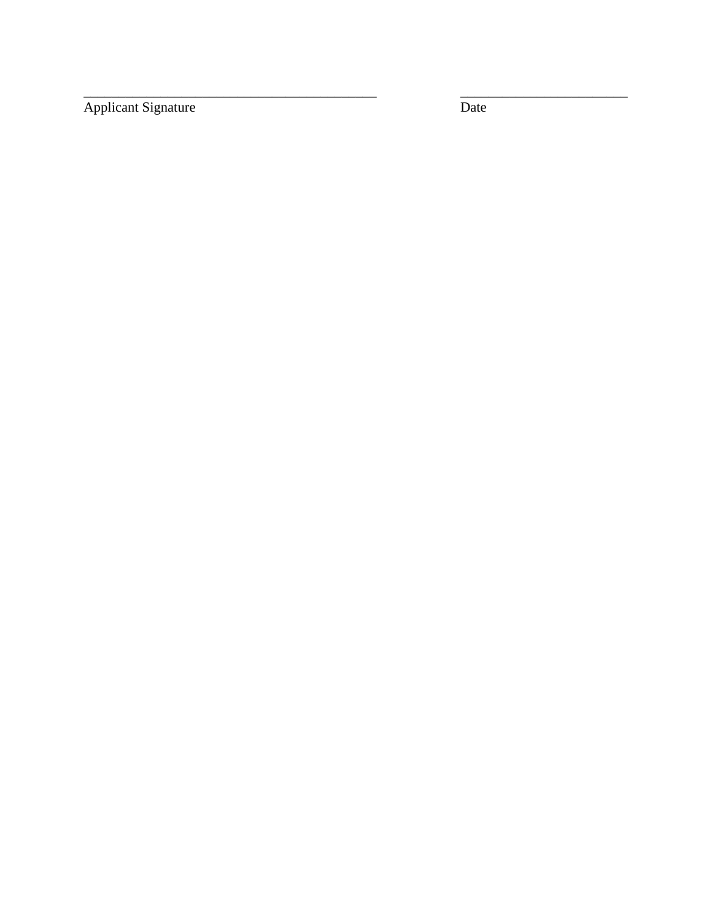Applicant Signature

Date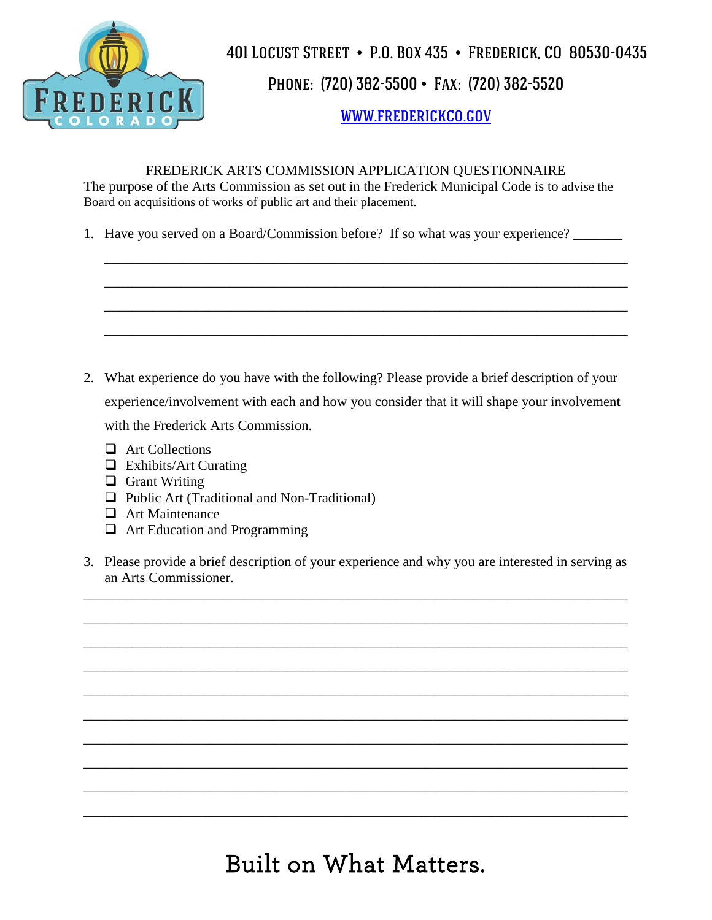

## Phone: (720) 382-5500 • Fax: (720) 382-5520

### [www.frederickco.gov](http://www.frederickco.gov/)

#### FREDERICK ARTS COMMISSION APPLICATION QUESTIONNAIRE

\_\_\_\_\_\_\_\_\_\_\_\_\_\_\_\_\_\_\_\_\_\_\_\_\_\_\_\_\_\_\_\_\_\_\_\_\_\_\_\_\_\_\_\_\_\_\_\_\_\_\_\_\_\_\_\_\_\_\_\_\_\_\_\_\_\_\_\_\_\_\_\_\_\_\_

\_\_\_\_\_\_\_\_\_\_\_\_\_\_\_\_\_\_\_\_\_\_\_\_\_\_\_\_\_\_\_\_\_\_\_\_\_\_\_\_\_\_\_\_\_\_\_\_\_\_\_\_\_\_\_\_\_\_\_\_\_\_\_\_\_\_\_\_\_\_\_\_\_\_\_

\_\_\_\_\_\_\_\_\_\_\_\_\_\_\_\_\_\_\_\_\_\_\_\_\_\_\_\_\_\_\_\_\_\_\_\_\_\_\_\_\_\_\_\_\_\_\_\_\_\_\_\_\_\_\_\_\_\_\_\_\_\_\_\_\_\_\_\_\_\_\_\_\_\_\_

\_\_\_\_\_\_\_\_\_\_\_\_\_\_\_\_\_\_\_\_\_\_\_\_\_\_\_\_\_\_\_\_\_\_\_\_\_\_\_\_\_\_\_\_\_\_\_\_\_\_\_\_\_\_\_\_\_\_\_\_\_\_\_\_\_\_\_\_\_\_\_\_\_\_\_

The purpose of the Arts Commission as set out in the Frederick Municipal Code is to advise the Board on acquisitions of works of public art and their placement.

1. Have you served on a Board/Commission before? If so what was your experience? \_\_\_\_\_\_\_

- 2. What experience do you have with the following? Please provide a brief description of your experience/involvement with each and how you consider that it will shape your involvement with the Frederick Arts Commission.
	- **Example 21 Art Collections**
	- $\Box$  Exhibits/Art Curating
	- $\Box$  Grant Writing
	- □ Public Art (Traditional and Non-Traditional)
	- **Q** Art Maintenance
	- □ Art Education and Programming
- 3. Please provide a brief description of your experience and why you are interested in serving as an Arts Commissioner.

\_\_\_\_\_\_\_\_\_\_\_\_\_\_\_\_\_\_\_\_\_\_\_\_\_\_\_\_\_\_\_\_\_\_\_\_\_\_\_\_\_\_\_\_\_\_\_\_\_\_\_\_\_\_\_\_\_\_\_\_\_\_\_\_\_\_\_\_\_\_\_\_\_\_\_\_\_\_

\_\_\_\_\_\_\_\_\_\_\_\_\_\_\_\_\_\_\_\_\_\_\_\_\_\_\_\_\_\_\_\_\_\_\_\_\_\_\_\_\_\_\_\_\_\_\_\_\_\_\_\_\_\_\_\_\_\_\_\_\_\_\_\_\_\_\_\_\_\_\_\_\_\_\_\_\_\_

\_\_\_\_\_\_\_\_\_\_\_\_\_\_\_\_\_\_\_\_\_\_\_\_\_\_\_\_\_\_\_\_\_\_\_\_\_\_\_\_\_\_\_\_\_\_\_\_\_\_\_\_\_\_\_\_\_\_\_\_\_\_\_\_\_\_\_\_\_\_\_\_\_\_\_\_\_\_

\_\_\_\_\_\_\_\_\_\_\_\_\_\_\_\_\_\_\_\_\_\_\_\_\_\_\_\_\_\_\_\_\_\_\_\_\_\_\_\_\_\_\_\_\_\_\_\_\_\_\_\_\_\_\_\_\_\_\_\_\_\_\_\_\_\_\_\_\_\_\_\_\_\_\_\_\_\_

\_\_\_\_\_\_\_\_\_\_\_\_\_\_\_\_\_\_\_\_\_\_\_\_\_\_\_\_\_\_\_\_\_\_\_\_\_\_\_\_\_\_\_\_\_\_\_\_\_\_\_\_\_\_\_\_\_\_\_\_\_\_\_\_\_\_\_\_\_\_\_\_\_\_\_\_\_\_

\_\_\_\_\_\_\_\_\_\_\_\_\_\_\_\_\_\_\_\_\_\_\_\_\_\_\_\_\_\_\_\_\_\_\_\_\_\_\_\_\_\_\_\_\_\_\_\_\_\_\_\_\_\_\_\_\_\_\_\_\_\_\_\_\_\_\_\_\_\_\_\_\_\_\_\_\_\_

\_\_\_\_\_\_\_\_\_\_\_\_\_\_\_\_\_\_\_\_\_\_\_\_\_\_\_\_\_\_\_\_\_\_\_\_\_\_\_\_\_\_\_\_\_\_\_\_\_\_\_\_\_\_\_\_\_\_\_\_\_\_\_\_\_\_\_\_\_\_\_\_\_\_\_\_\_\_

\_\_\_\_\_\_\_\_\_\_\_\_\_\_\_\_\_\_\_\_\_\_\_\_\_\_\_\_\_\_\_\_\_\_\_\_\_\_\_\_\_\_\_\_\_\_\_\_\_\_\_\_\_\_\_\_\_\_\_\_\_\_\_\_\_\_\_\_\_\_\_\_\_\_\_\_\_\_

\_\_\_\_\_\_\_\_\_\_\_\_\_\_\_\_\_\_\_\_\_\_\_\_\_\_\_\_\_\_\_\_\_\_\_\_\_\_\_\_\_\_\_\_\_\_\_\_\_\_\_\_\_\_\_\_\_\_\_\_\_\_\_\_\_\_\_\_\_\_\_\_\_\_\_\_\_\_

\_\_\_\_\_\_\_\_\_\_\_\_\_\_\_\_\_\_\_\_\_\_\_\_\_\_\_\_\_\_\_\_\_\_\_\_\_\_\_\_\_\_\_\_\_\_\_\_\_\_\_\_\_\_\_\_\_\_\_\_\_\_\_\_\_\_\_\_\_\_\_\_\_\_\_\_\_\_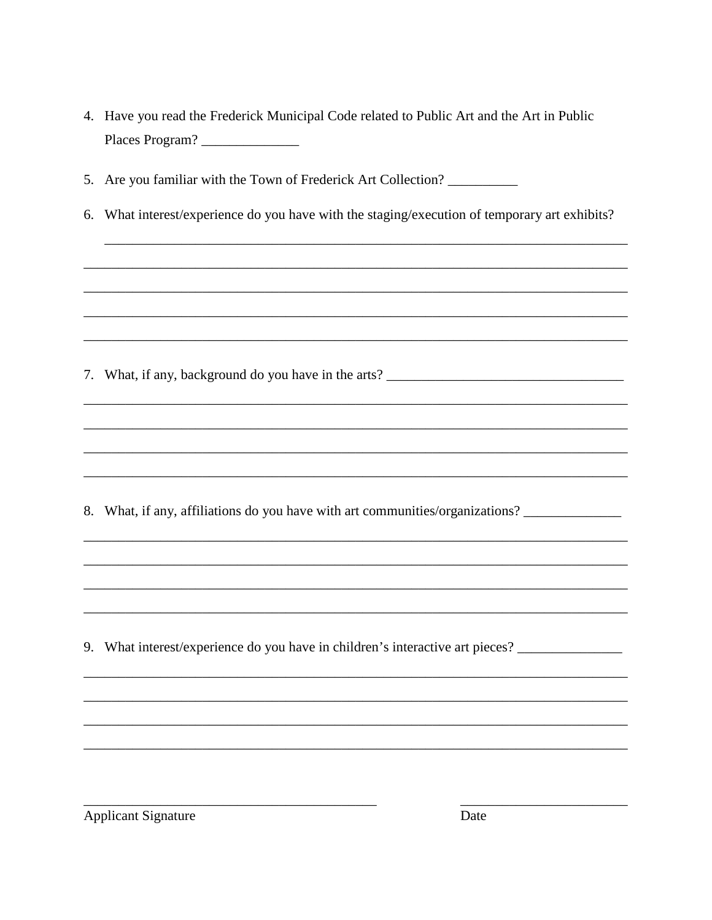|    | 4. Have you read the Frederick Municipal Code related to Public Art and the Art in Public<br>Places Program? |
|----|--------------------------------------------------------------------------------------------------------------|
|    | 5. Are you familiar with the Town of Frederick Art Collection? __________                                    |
| 6. | What interest/experience do you have with the staging/execution of temporary art exhibits?                   |
|    |                                                                                                              |
|    |                                                                                                              |
|    |                                                                                                              |
|    |                                                                                                              |
|    |                                                                                                              |
|    |                                                                                                              |
|    |                                                                                                              |
|    | 8. What, if any, affiliations do you have with art communities/organizations?                                |
|    |                                                                                                              |
|    |                                                                                                              |
|    |                                                                                                              |
|    | 9. What interest/experience do you have in children's interactive art pieces? _____________________          |
|    |                                                                                                              |
|    |                                                                                                              |
|    |                                                                                                              |
|    |                                                                                                              |

Applicant Signature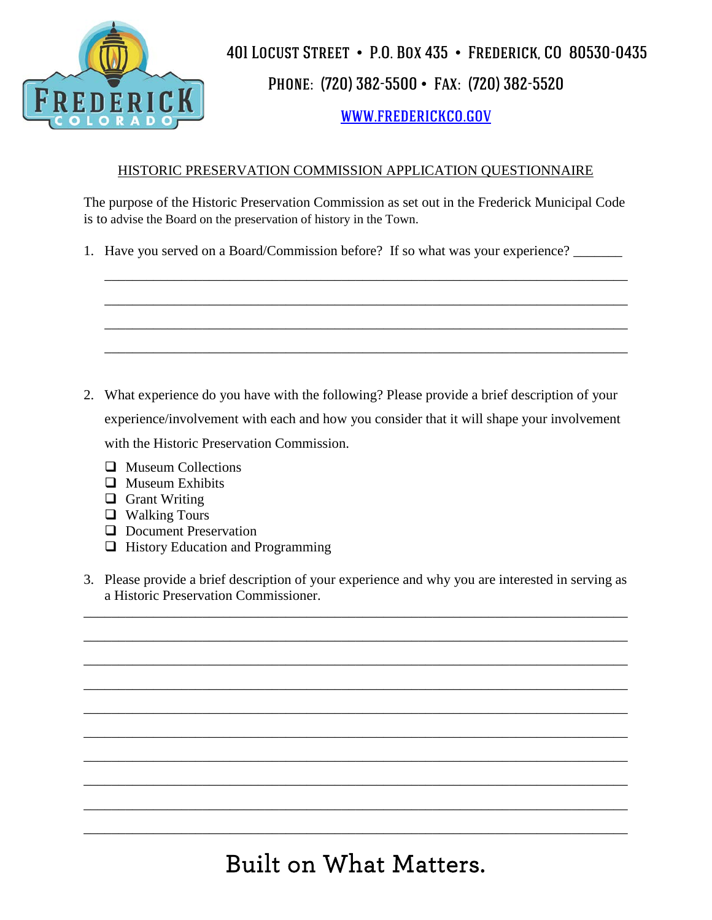

## Phone: (720) 382-5500 • Fax: (720) 382-5520

## [www.frederickco.gov](http://www.frederickco.gov/)

#### HISTORIC PRESERVATION COMMISSION APPLICATION QUESTIONNAIRE

The purpose of the Historic Preservation Commission as set out in the Frederick Municipal Code is to advise the Board on the preservation of history in the Town.

\_\_\_\_\_\_\_\_\_\_\_\_\_\_\_\_\_\_\_\_\_\_\_\_\_\_\_\_\_\_\_\_\_\_\_\_\_\_\_\_\_\_\_\_\_\_\_\_\_\_\_\_\_\_\_\_\_\_\_\_\_\_\_\_\_\_\_\_\_\_\_\_\_\_\_

\_\_\_\_\_\_\_\_\_\_\_\_\_\_\_\_\_\_\_\_\_\_\_\_\_\_\_\_\_\_\_\_\_\_\_\_\_\_\_\_\_\_\_\_\_\_\_\_\_\_\_\_\_\_\_\_\_\_\_\_\_\_\_\_\_\_\_\_\_\_\_\_\_\_\_

\_\_\_\_\_\_\_\_\_\_\_\_\_\_\_\_\_\_\_\_\_\_\_\_\_\_\_\_\_\_\_\_\_\_\_\_\_\_\_\_\_\_\_\_\_\_\_\_\_\_\_\_\_\_\_\_\_\_\_\_\_\_\_\_\_\_\_\_\_\_\_\_\_\_\_

\_\_\_\_\_\_\_\_\_\_\_\_\_\_\_\_\_\_\_\_\_\_\_\_\_\_\_\_\_\_\_\_\_\_\_\_\_\_\_\_\_\_\_\_\_\_\_\_\_\_\_\_\_\_\_\_\_\_\_\_\_\_\_\_\_\_\_\_\_\_\_\_\_\_\_

1. Have you served on a Board/Commission before? If so what was your experience?

- 2. What experience do you have with the following? Please provide a brief description of your experience/involvement with each and how you consider that it will shape your involvement with the Historic Preservation Commission.
	- $\Box$  Museum Collections
	- $\Box$  Museum Exhibits
	- $\Box$  Grant Writing
	- Walking Tours
	- **D** Document Preservation
	- $\Box$  History Education and Programming
- 3. Please provide a brief description of your experience and why you are interested in serving as a Historic Preservation Commissioner.

\_\_\_\_\_\_\_\_\_\_\_\_\_\_\_\_\_\_\_\_\_\_\_\_\_\_\_\_\_\_\_\_\_\_\_\_\_\_\_\_\_\_\_\_\_\_\_\_\_\_\_\_\_\_\_\_\_\_\_\_\_\_\_\_\_\_\_\_\_\_\_\_\_\_\_\_\_\_

\_\_\_\_\_\_\_\_\_\_\_\_\_\_\_\_\_\_\_\_\_\_\_\_\_\_\_\_\_\_\_\_\_\_\_\_\_\_\_\_\_\_\_\_\_\_\_\_\_\_\_\_\_\_\_\_\_\_\_\_\_\_\_\_\_\_\_\_\_\_\_\_\_\_\_\_\_\_

\_\_\_\_\_\_\_\_\_\_\_\_\_\_\_\_\_\_\_\_\_\_\_\_\_\_\_\_\_\_\_\_\_\_\_\_\_\_\_\_\_\_\_\_\_\_\_\_\_\_\_\_\_\_\_\_\_\_\_\_\_\_\_\_\_\_\_\_\_\_\_\_\_\_\_\_\_\_

\_\_\_\_\_\_\_\_\_\_\_\_\_\_\_\_\_\_\_\_\_\_\_\_\_\_\_\_\_\_\_\_\_\_\_\_\_\_\_\_\_\_\_\_\_\_\_\_\_\_\_\_\_\_\_\_\_\_\_\_\_\_\_\_\_\_\_\_\_\_\_\_\_\_\_\_\_\_

\_\_\_\_\_\_\_\_\_\_\_\_\_\_\_\_\_\_\_\_\_\_\_\_\_\_\_\_\_\_\_\_\_\_\_\_\_\_\_\_\_\_\_\_\_\_\_\_\_\_\_\_\_\_\_\_\_\_\_\_\_\_\_\_\_\_\_\_\_\_\_\_\_\_\_\_\_\_

\_\_\_\_\_\_\_\_\_\_\_\_\_\_\_\_\_\_\_\_\_\_\_\_\_\_\_\_\_\_\_\_\_\_\_\_\_\_\_\_\_\_\_\_\_\_\_\_\_\_\_\_\_\_\_\_\_\_\_\_\_\_\_\_\_\_\_\_\_\_\_\_\_\_\_\_\_\_

\_\_\_\_\_\_\_\_\_\_\_\_\_\_\_\_\_\_\_\_\_\_\_\_\_\_\_\_\_\_\_\_\_\_\_\_\_\_\_\_\_\_\_\_\_\_\_\_\_\_\_\_\_\_\_\_\_\_\_\_\_\_\_\_\_\_\_\_\_\_\_\_\_\_\_\_\_\_

\_\_\_\_\_\_\_\_\_\_\_\_\_\_\_\_\_\_\_\_\_\_\_\_\_\_\_\_\_\_\_\_\_\_\_\_\_\_\_\_\_\_\_\_\_\_\_\_\_\_\_\_\_\_\_\_\_\_\_\_\_\_\_\_\_\_\_\_\_\_\_\_\_\_\_\_\_\_

\_\_\_\_\_\_\_\_\_\_\_\_\_\_\_\_\_\_\_\_\_\_\_\_\_\_\_\_\_\_\_\_\_\_\_\_\_\_\_\_\_\_\_\_\_\_\_\_\_\_\_\_\_\_\_\_\_\_\_\_\_\_\_\_\_\_\_\_\_\_\_\_\_\_\_\_\_\_

\_\_\_\_\_\_\_\_\_\_\_\_\_\_\_\_\_\_\_\_\_\_\_\_\_\_\_\_\_\_\_\_\_\_\_\_\_\_\_\_\_\_\_\_\_\_\_\_\_\_\_\_\_\_\_\_\_\_\_\_\_\_\_\_\_\_\_\_\_\_\_\_\_\_\_\_\_\_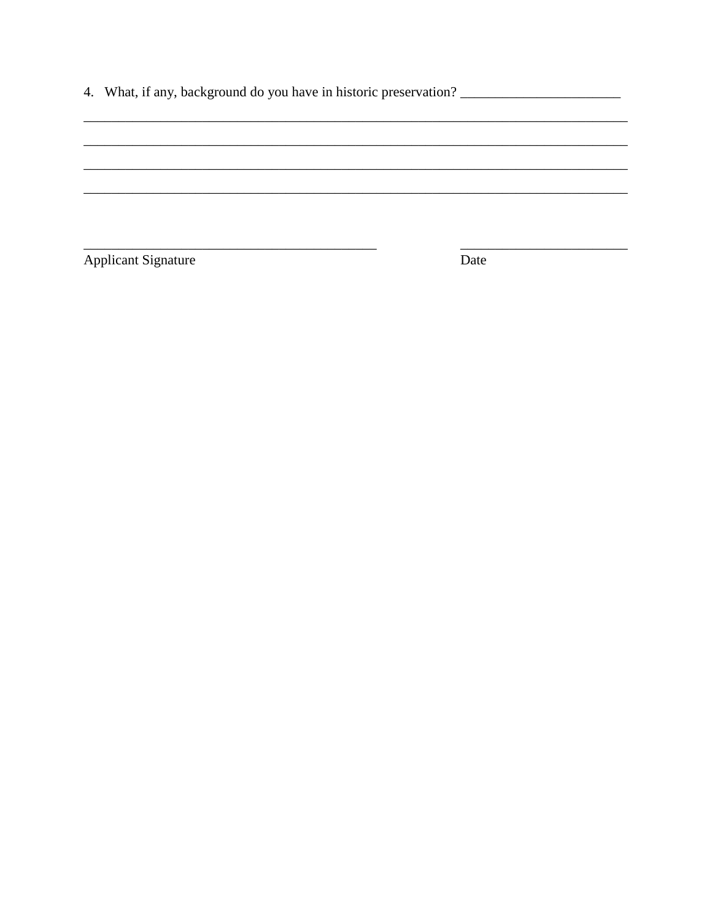Applicant Signature

Date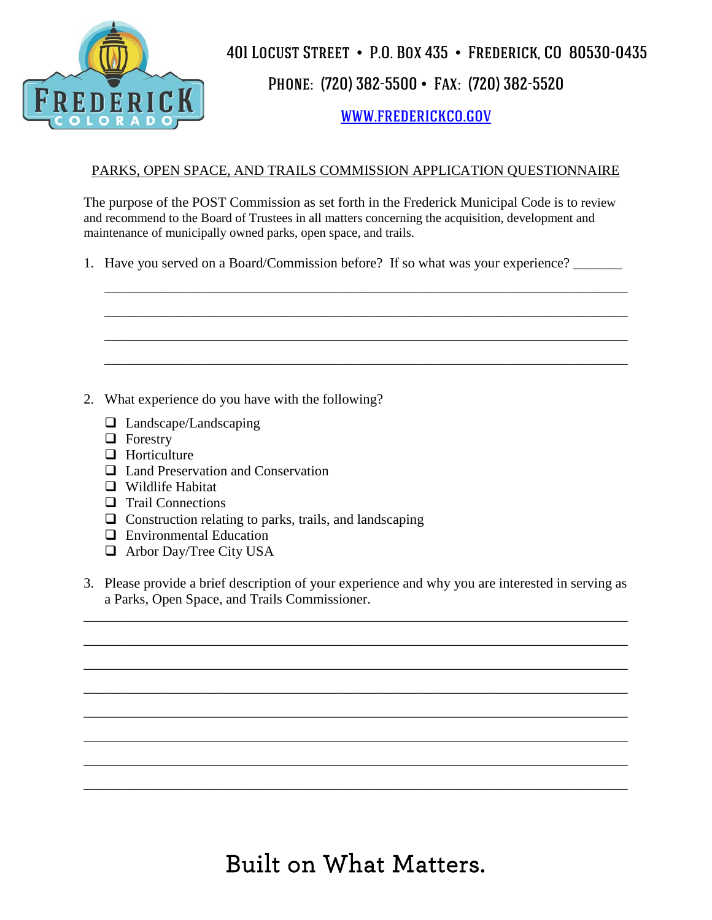

Phone: (720) 382-5500 • Fax: (720) 382-5520

[www.frederickco.gov](http://www.frederickco.gov/)

#### PARKS, OPEN SPACE, AND TRAILS COMMISSION APPLICATION QUESTIONNAIRE

The purpose of the POST Commission as set forth in the Frederick Municipal Code is to review and recommend to the Board of Trustees in all matters concerning the acquisition, development and maintenance of municipally owned parks, open space, and trails.

\_\_\_\_\_\_\_\_\_\_\_\_\_\_\_\_\_\_\_\_\_\_\_\_\_\_\_\_\_\_\_\_\_\_\_\_\_\_\_\_\_\_\_\_\_\_\_\_\_\_\_\_\_\_\_\_\_\_\_\_\_\_\_\_\_\_\_\_\_\_\_\_\_\_\_

\_\_\_\_\_\_\_\_\_\_\_\_\_\_\_\_\_\_\_\_\_\_\_\_\_\_\_\_\_\_\_\_\_\_\_\_\_\_\_\_\_\_\_\_\_\_\_\_\_\_\_\_\_\_\_\_\_\_\_\_\_\_\_\_\_\_\_\_\_\_\_\_\_\_\_

\_\_\_\_\_\_\_\_\_\_\_\_\_\_\_\_\_\_\_\_\_\_\_\_\_\_\_\_\_\_\_\_\_\_\_\_\_\_\_\_\_\_\_\_\_\_\_\_\_\_\_\_\_\_\_\_\_\_\_\_\_\_\_\_\_\_\_\_\_\_\_\_\_\_\_

\_\_\_\_\_\_\_\_\_\_\_\_\_\_\_\_\_\_\_\_\_\_\_\_\_\_\_\_\_\_\_\_\_\_\_\_\_\_\_\_\_\_\_\_\_\_\_\_\_\_\_\_\_\_\_\_\_\_\_\_\_\_\_\_\_\_\_\_\_\_\_\_\_\_\_

1. Have you served on a Board/Commission before? If so what was your experience?

- 2. What experience do you have with the following?
	- □ Landscape/Landscaping
	- **D** Forestry
	- $\Box$  Horticulture
	- **□** Land Preservation and Conservation
	- Wildlife Habitat
	- **Trail Connections**
	- $\Box$  Construction relating to parks, trails, and landscaping
	- □ Environmental Education
	- □ Arbor Day/Tree City USA
- 3. Please provide a brief description of your experience and why you are interested in serving as a Parks, Open Space, and Trails Commissioner.

\_\_\_\_\_\_\_\_\_\_\_\_\_\_\_\_\_\_\_\_\_\_\_\_\_\_\_\_\_\_\_\_\_\_\_\_\_\_\_\_\_\_\_\_\_\_\_\_\_\_\_\_\_\_\_\_\_\_\_\_\_\_\_\_\_\_\_\_\_\_\_\_\_\_\_\_\_\_

\_\_\_\_\_\_\_\_\_\_\_\_\_\_\_\_\_\_\_\_\_\_\_\_\_\_\_\_\_\_\_\_\_\_\_\_\_\_\_\_\_\_\_\_\_\_\_\_\_\_\_\_\_\_\_\_\_\_\_\_\_\_\_\_\_\_\_\_\_\_\_\_\_\_\_\_\_\_

\_\_\_\_\_\_\_\_\_\_\_\_\_\_\_\_\_\_\_\_\_\_\_\_\_\_\_\_\_\_\_\_\_\_\_\_\_\_\_\_\_\_\_\_\_\_\_\_\_\_\_\_\_\_\_\_\_\_\_\_\_\_\_\_\_\_\_\_\_\_\_\_\_\_\_\_\_\_

\_\_\_\_\_\_\_\_\_\_\_\_\_\_\_\_\_\_\_\_\_\_\_\_\_\_\_\_\_\_\_\_\_\_\_\_\_\_\_\_\_\_\_\_\_\_\_\_\_\_\_\_\_\_\_\_\_\_\_\_\_\_\_\_\_\_\_\_\_\_\_\_\_\_\_\_\_\_

\_\_\_\_\_\_\_\_\_\_\_\_\_\_\_\_\_\_\_\_\_\_\_\_\_\_\_\_\_\_\_\_\_\_\_\_\_\_\_\_\_\_\_\_\_\_\_\_\_\_\_\_\_\_\_\_\_\_\_\_\_\_\_\_\_\_\_\_\_\_\_\_\_\_\_\_\_\_

\_\_\_\_\_\_\_\_\_\_\_\_\_\_\_\_\_\_\_\_\_\_\_\_\_\_\_\_\_\_\_\_\_\_\_\_\_\_\_\_\_\_\_\_\_\_\_\_\_\_\_\_\_\_\_\_\_\_\_\_\_\_\_\_\_\_\_\_\_\_\_\_\_\_\_\_\_\_

\_\_\_\_\_\_\_\_\_\_\_\_\_\_\_\_\_\_\_\_\_\_\_\_\_\_\_\_\_\_\_\_\_\_\_\_\_\_\_\_\_\_\_\_\_\_\_\_\_\_\_\_\_\_\_\_\_\_\_\_\_\_\_\_\_\_\_\_\_\_\_\_\_\_\_\_\_\_

\_\_\_\_\_\_\_\_\_\_\_\_\_\_\_\_\_\_\_\_\_\_\_\_\_\_\_\_\_\_\_\_\_\_\_\_\_\_\_\_\_\_\_\_\_\_\_\_\_\_\_\_\_\_\_\_\_\_\_\_\_\_\_\_\_\_\_\_\_\_\_\_\_\_\_\_\_\_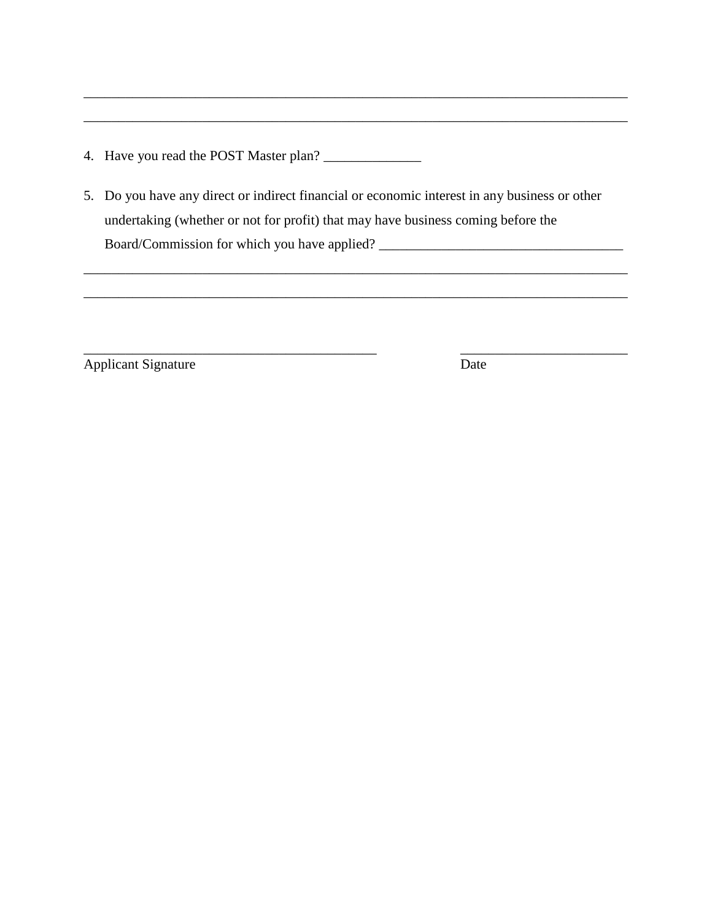- 4. Have you read the POST Master plan? \_\_\_\_\_\_\_\_\_\_\_\_\_\_
- 5. Do you have any direct or indirect financial or economic interest in any business or other undertaking (whether or not for profit) that may have business coming before the Board/Commission for which you have applied? \_\_\_\_\_\_\_\_\_\_\_\_\_\_\_\_\_\_\_\_\_\_\_\_\_\_\_\_\_\_\_\_\_\_\_

\_\_\_\_\_\_\_\_\_\_\_\_\_\_\_\_\_\_\_\_\_\_\_\_\_\_\_\_\_\_\_\_\_\_\_\_\_\_\_\_\_\_\_\_\_\_\_\_\_\_\_\_\_\_\_\_\_\_\_\_\_\_\_\_\_\_\_\_\_\_\_\_\_\_\_\_\_\_

\_\_\_\_\_\_\_\_\_\_\_\_\_\_\_\_\_\_\_\_\_\_\_\_\_\_\_\_\_\_\_\_\_\_\_\_\_\_\_\_\_\_ \_\_\_\_\_\_\_\_\_\_\_\_\_\_\_\_\_\_\_\_\_\_\_\_

\_\_\_\_\_\_\_\_\_\_\_\_\_\_\_\_\_\_\_\_\_\_\_\_\_\_\_\_\_\_\_\_\_\_\_\_\_\_\_\_\_\_\_\_\_\_\_\_\_\_\_\_\_\_\_\_\_\_\_\_\_\_\_\_\_\_\_\_\_\_\_\_\_\_\_\_\_\_

\_\_\_\_\_\_\_\_\_\_\_\_\_\_\_\_\_\_\_\_\_\_\_\_\_\_\_\_\_\_\_\_\_\_\_\_\_\_\_\_\_\_\_\_\_\_\_\_\_\_\_\_\_\_\_\_\_\_\_\_\_\_\_\_\_\_\_\_\_\_\_\_\_\_\_\_\_\_

Applicant Signature Date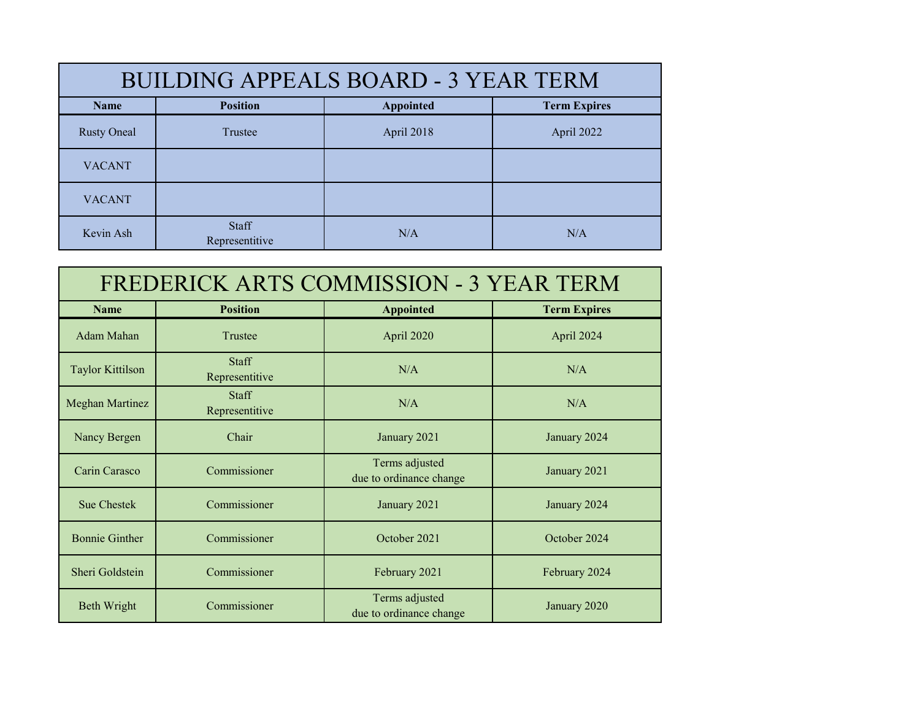| <b>BUILDING APPEALS BOARD - 3 YEAR TERM</b> |                         |            |                     |
|---------------------------------------------|-------------------------|------------|---------------------|
| <b>Name</b>                                 | <b>Position</b>         | Appointed  | <b>Term Expires</b> |
| <b>Rusty Oneal</b>                          | Trustee                 | April 2018 | April 2022          |
| <b>VACANT</b>                               |                         |            |                     |
| <b>VACANT</b>                               |                         |            |                     |
| Kevin Ash                                   | Staff<br>Representitive | N/A        | N/A                 |

| <b>FREDERICK ARTS COMMISSION - 3 YEAR TERM</b> |                                |                                           |                     |
|------------------------------------------------|--------------------------------|-------------------------------------------|---------------------|
| <b>Name</b>                                    | <b>Position</b>                | <b>Appointed</b>                          | <b>Term Expires</b> |
| Adam Mahan                                     | Trustee                        | April 2020                                | April 2024          |
| <b>Taylor Kittilson</b>                        | <b>Staff</b><br>Representitive | N/A                                       | N/A                 |
| <b>Meghan Martinez</b>                         | <b>Staff</b><br>Representitive | N/A                                       | N/A                 |
| Nancy Bergen                                   | Chair                          | January 2021                              | January 2024        |
| Carin Carasco                                  | Commissioner                   | Terms adjusted<br>due to ordinance change | January 2021        |
| <b>Sue Chestek</b>                             | Commissioner                   | January 2021                              | January 2024        |
| <b>Bonnie Ginther</b>                          | Commissioner                   | October 2021                              | October 2024        |
| Sheri Goldstein                                | Commissioner                   | February 2021                             | February 2024       |
| Beth Wright                                    | Commissioner                   | Terms adjusted<br>due to ordinance change | January 2020        |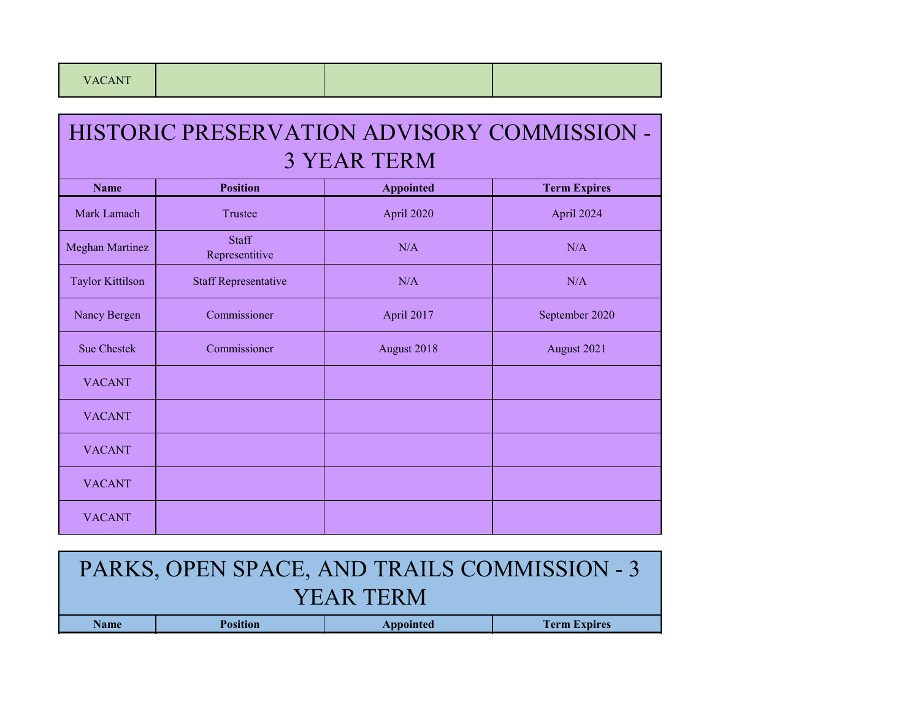| HISTORIC PRESERVATION ADVISORY COMMISSION - ' |
|-----------------------------------------------|
| 3 YEAR TERM                                   |

| <b>Name</b>             | <b>Position</b>                | <b>Appointed</b> | <b>Term Expires</b> |
|-------------------------|--------------------------------|------------------|---------------------|
| Mark Lamach             | Trustee                        | April 2020       | April 2024          |
| <b>Meghan Martinez</b>  | <b>Staff</b><br>Representitive | N/A              | N/A                 |
| <b>Taylor Kittilson</b> | <b>Staff Representative</b>    | N/A              | N/A                 |
| Nancy Bergen            | Commissioner                   | April 2017       | September 2020      |
| Sue Chestek             | Commissioner                   | August 2018      | August 2021         |
| <b>VACANT</b>           |                                |                  |                     |
| <b>VACANT</b>           |                                |                  |                     |
| <b>VACANT</b>           |                                |                  |                     |
| <b>VACANT</b>           |                                |                  |                     |
| <b>VACANT</b>           |                                |                  |                     |

| PARKS, OPEN SPACE, AND TRAILS COMMISSION - 3 |                 |           |                     |
|----------------------------------------------|-----------------|-----------|---------------------|
| <b>YEAR TERM</b>                             |                 |           |                     |
| <b>Name</b>                                  | <b>Position</b> | Appointed | <b>Term Expires</b> |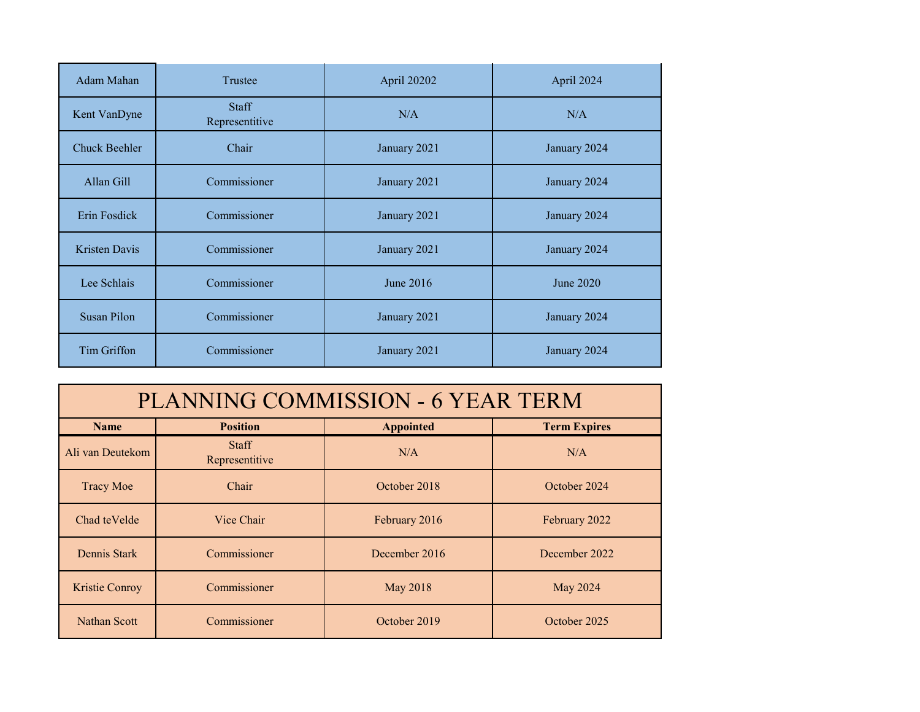| Adam Mahan           | Trustee                        | April 20202  | April 2024   |
|----------------------|--------------------------------|--------------|--------------|
| Kent VanDyne         | <b>Staff</b><br>Representitive | N/A          | N/A          |
| <b>Chuck Beehler</b> | Chair                          | January 2021 | January 2024 |
| Allan Gill           | Commissioner                   | January 2021 | January 2024 |
| Erin Fosdick         | Commissioner                   | January 2021 | January 2024 |
| Kristen Davis        | Commissioner                   | January 2021 | January 2024 |
| Lee Schlais          | Commissioner                   | June 2016    | June 2020    |
| Susan Pilon          | Commissioner                   | January 2021 | January 2024 |
| Tim Griffon          | Commissioner                   | January 2021 | January 2024 |

| <b>PLANNING COMMISSION - 6 YEAR TERM</b>                                  |                                |               |               |
|---------------------------------------------------------------------------|--------------------------------|---------------|---------------|
| <b>Term Expires</b><br><b>Position</b><br><b>Appointed</b><br><b>Name</b> |                                |               |               |
| Ali van Deutekom                                                          | <b>Staff</b><br>Representitive | N/A           | N/A           |
| <b>Tracy Moe</b>                                                          | Chair                          | October 2018  | October 2024  |
| Chad teVelde                                                              | Vice Chair                     | February 2016 | February 2022 |
| Dennis Stark                                                              | Commissioner                   | December 2016 | December 2022 |
| Kristie Conroy                                                            | Commissioner                   | May 2018      | May 2024      |
| <b>Nathan Scott</b>                                                       | Commissioner                   | October 2019  | October 2025  |